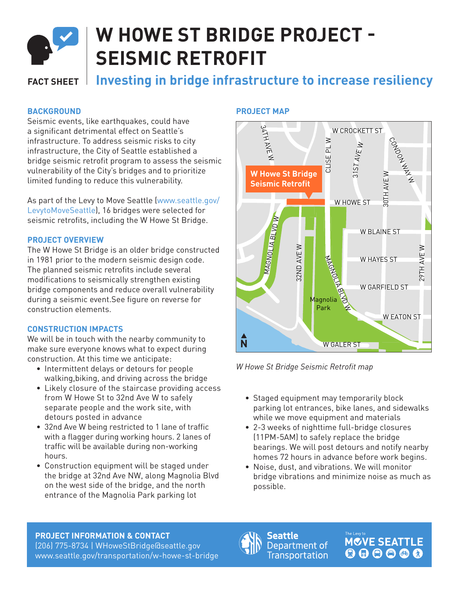

# **W HOWE ST BRIDGE PROJECT - SEISMIC RETROFIT**

# **FACT SHEET Investing in bridge infrastructure to increase resiliency**

# **BACKGROUND**

Seismic events, like earthquakes, could have a significant detrimental effect on Seattle's infrastructure. To address seismic risks to city infrastructure, the City of Seattle established a bridge seismic retrofit program to assess the seismic vulnerability of the City's bridges and to prioritize limited funding to reduce this vulnerability.

As part of the Levy to Move Seattle (www.seattle.gov/ LevytoMoveSeattle), 16 bridges were selected for seismic retrofits, including the W Howe St Bridge.

### **PROJECT OVERVIEW**

The W Howe St Bridge is an older bridge constructed in 1981 prior to the modern seismic design code. The planned seismic retrofits include several modifications to seismically strengthen existing bridge components and reduce overall vulnerability during a seismic event.See figure on reverse for construction elements.

### **CONSTRUCTION IMPACTS**

We will be in touch with the nearby community to make sure everyone knows what to expect during construction. At this time we anticipate:

- Intermittent delays or detours for people walking,biking, and driving across the bridge
- Likely closure of the staircase providing access from W Howe St to 32nd Ave W to safely separate people and the work site, with detours posted in advance
- 32nd Ave W being restricted to 1 lane of traffic with a flagger during working hours. 2 lanes of traffic will be available during non-working hours.
- Construction equipment will be staged under the bridge at 32nd Ave NW, along Magnolia Blvd on the west side of the bridge, and the north entrance of the Magnolia Park parking lot

## **PROJECT MAP**



*W Howe St Bridge Seismic Retrofit map*

- Staged equipment may temporarily block parking lot entrances, bike lanes, and sidewalks while we move equipment and materials
- 2-3 weeks of nighttime full-bridge closures (11PM-5AM) to safely replace the bridge bearings. We will post detours and notify nearby homes 72 hours in advance before work begins.
- Noise, dust, and vibrations. We will monitor bridge vibrations and minimize noise as much as possible.

#### **PROJECT INFORMATION & CONTACT**

(206) 775-8734 | WHoweStBridge@seattle.gov www.seattle.gov/transportation/w-howe-st-bridge



**Seattle** Department of **Transportation**  **MOVE SEATTLE**